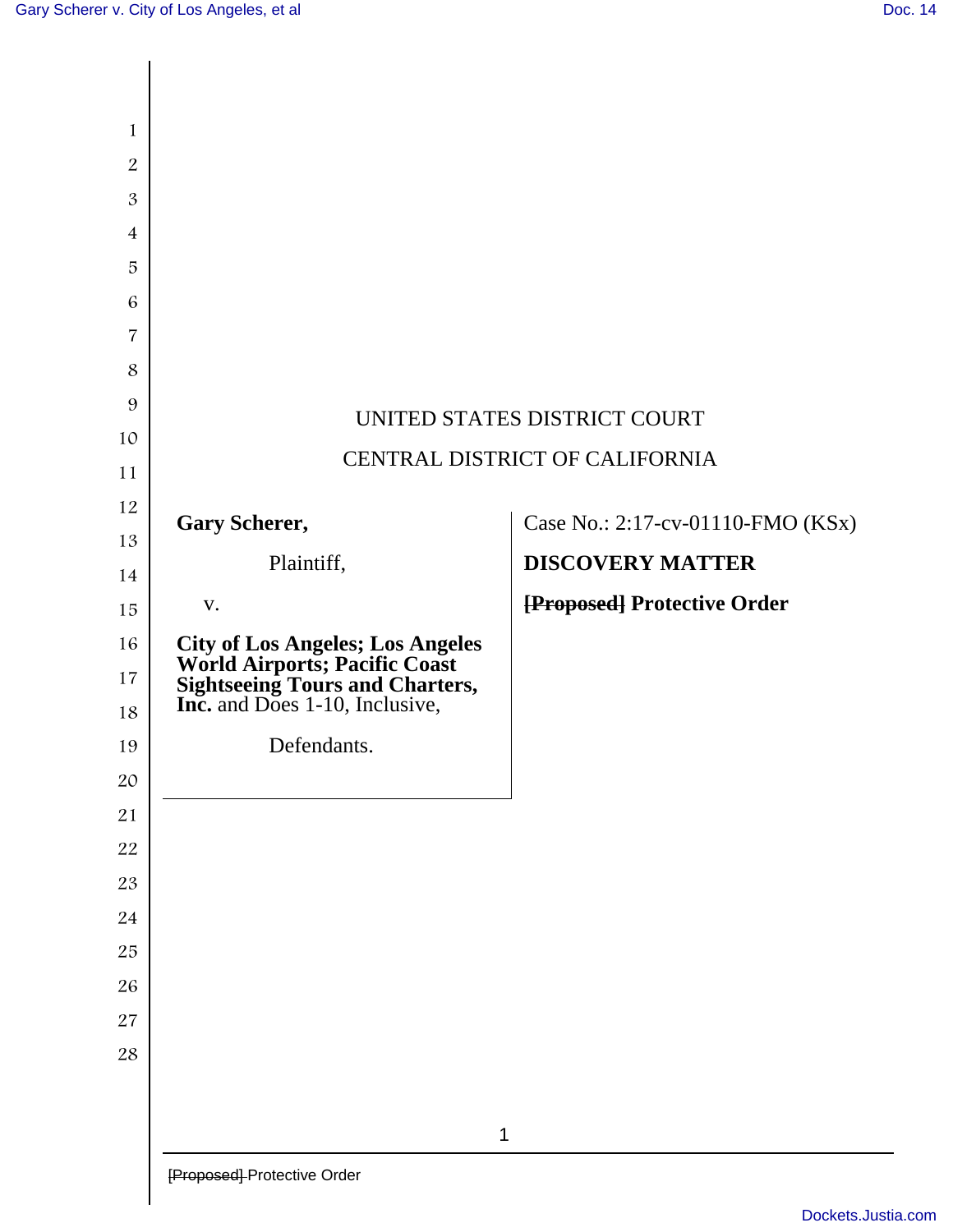$\overline{\phantom{a}}$ 

| 1                   |                                                                                                                                                  |                                   |
|---------------------|--------------------------------------------------------------------------------------------------------------------------------------------------|-----------------------------------|
| $\boldsymbol{2}$    |                                                                                                                                                  |                                   |
| $\mathfrak{B}$      |                                                                                                                                                  |                                   |
| $\overline{4}$<br>5 |                                                                                                                                                  |                                   |
| 6                   |                                                                                                                                                  |                                   |
| 7                   |                                                                                                                                                  |                                   |
| 8                   |                                                                                                                                                  |                                   |
| 9                   |                                                                                                                                                  |                                   |
| 10                  | UNITED STATES DISTRICT COURT                                                                                                                     |                                   |
| 11                  |                                                                                                                                                  | CENTRAL DISTRICT OF CALIFORNIA    |
| 12                  | <b>Gary Scherer,</b>                                                                                                                             | Case No.: 2:17-cv-01110-FMO (KSx) |
| 13                  |                                                                                                                                                  |                                   |
| 14                  | Plaintiff,                                                                                                                                       | <b>DISCOVERY MATTER</b>           |
| 15                  | V.                                                                                                                                               | [Proposed] Protective Order       |
| 16                  | <b>City of Los Angeles; Los Angeles<br/>World Airports; Pacific Coast<br/>Sightseeing Tours and Charters,<br/>Inc.</b> and Does 1-10, Inclusive, |                                   |
| 17                  |                                                                                                                                                  |                                   |
| 18                  |                                                                                                                                                  |                                   |
| 19                  | Defendants.                                                                                                                                      |                                   |
| 20                  |                                                                                                                                                  |                                   |
| $21\,$<br>22        |                                                                                                                                                  |                                   |
| 23                  |                                                                                                                                                  |                                   |
| 24                  |                                                                                                                                                  |                                   |
| 25                  |                                                                                                                                                  |                                   |
| 26                  |                                                                                                                                                  |                                   |
| $27\,$              |                                                                                                                                                  |                                   |
| $28\,$              |                                                                                                                                                  |                                   |
|                     |                                                                                                                                                  |                                   |
|                     | 1                                                                                                                                                |                                   |
|                     |                                                                                                                                                  |                                   |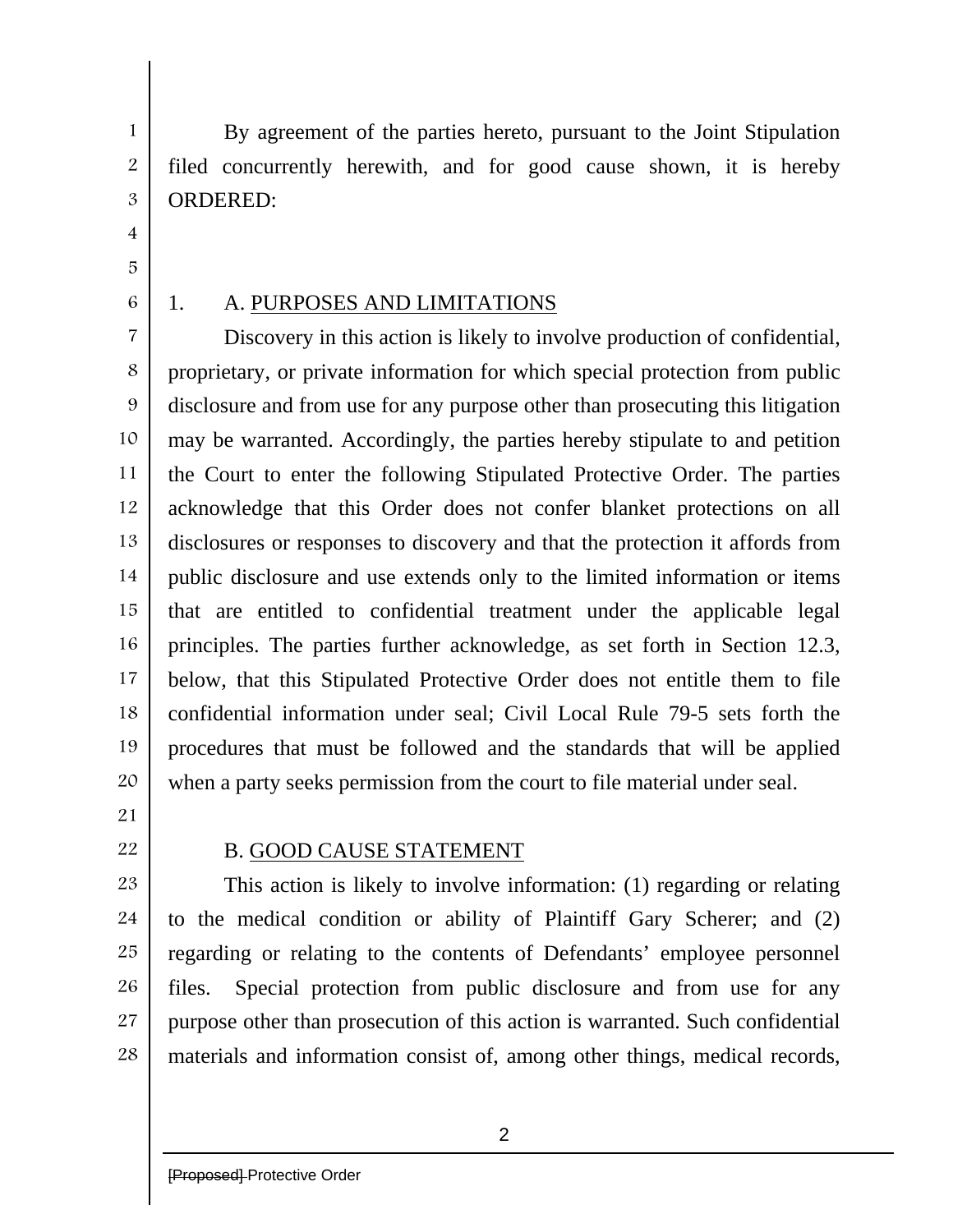By agreement of the parties hereto, pursuant to the Joint Stipulation filed concurrently herewith, and for good cause shown, it is hereby ORDERED:

4 5

1

2

3

6

## 1. A. PURPOSES AND LIMITATIONS

7 8 9 10 11 12 13 14 15 16 17 18 19 20 Discovery in this action is likely to involve production of confidential, proprietary, or private information for which special protection from public disclosure and from use for any purpose other than prosecuting this litigation may be warranted. Accordingly, the parties hereby stipulate to and petition the Court to enter the following Stipulated Protective Order. The parties acknowledge that this Order does not confer blanket protections on all disclosures or responses to discovery and that the protection it affords from public disclosure and use extends only to the limited information or items that are entitled to confidential treatment under the applicable legal principles. The parties further acknowledge, as set forth in Section 12.3, below, that this Stipulated Protective Order does not entitle them to file confidential information under seal; Civil Local Rule 79-5 sets forth the procedures that must be followed and the standards that will be applied when a party seeks permission from the court to file material under seal.

- 21
- 22

## B. GOOD CAUSE STATEMENT

23 24 25 26 27 28 This action is likely to involve information: (1) regarding or relating to the medical condition or ability of Plaintiff Gary Scherer; and (2) regarding or relating to the contents of Defendants' employee personnel files. Special protection from public disclosure and from use for any purpose other than prosecution of this action is warranted. Such confidential materials and information consist of, among other things, medical records,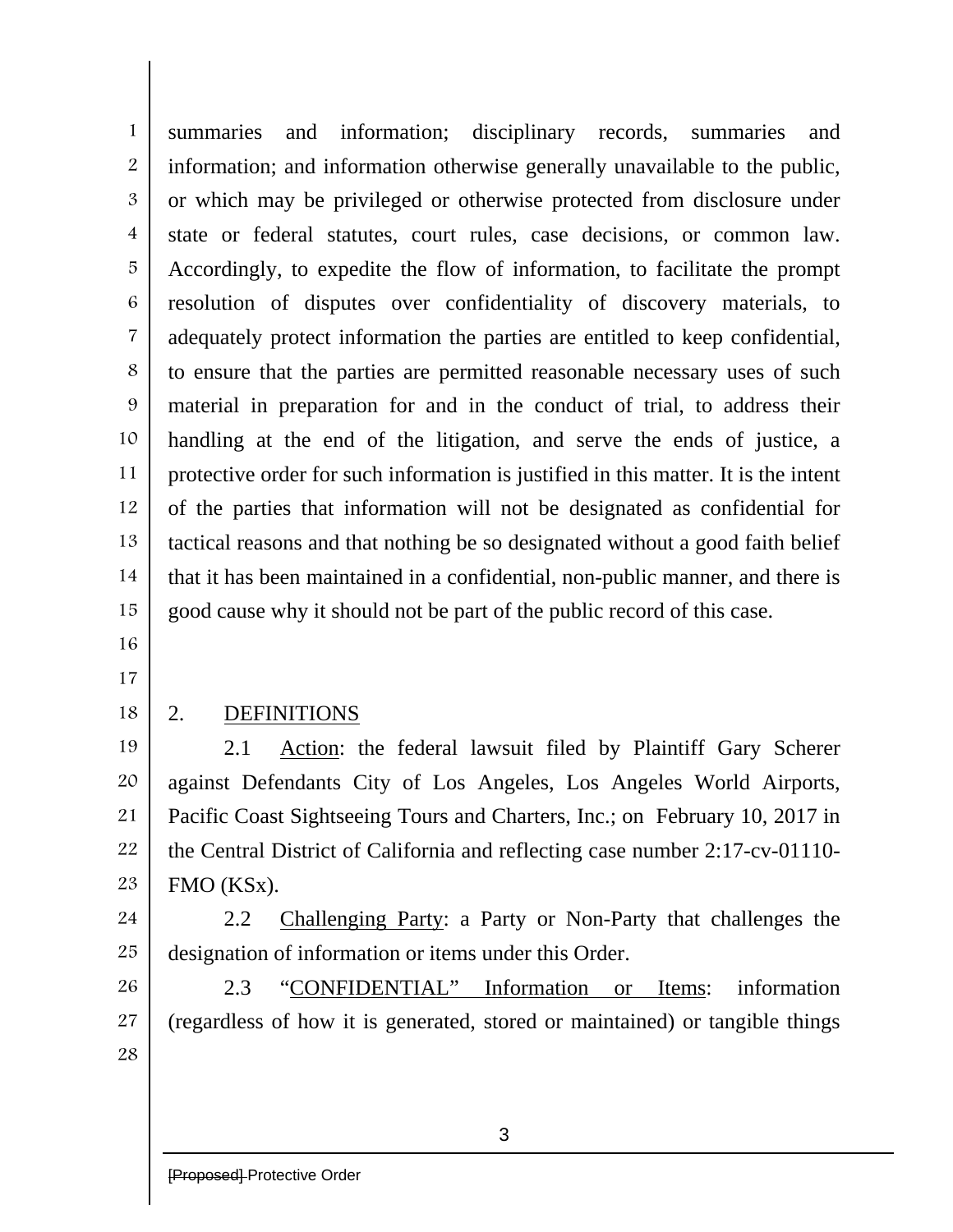1 2 3 4 5 6 7 8 9 10 11 12 13 14 15 summaries and information; disciplinary records, summaries and information; and information otherwise generally unavailable to the public, or which may be privileged or otherwise protected from disclosure under state or federal statutes, court rules, case decisions, or common law. Accordingly, to expedite the flow of information, to facilitate the prompt resolution of disputes over confidentiality of discovery materials, to adequately protect information the parties are entitled to keep confidential, to ensure that the parties are permitted reasonable necessary uses of such material in preparation for and in the conduct of trial, to address their handling at the end of the litigation, and serve the ends of justice, a protective order for such information is justified in this matter. It is the intent of the parties that information will not be designated as confidential for tactical reasons and that nothing be so designated without a good faith belief that it has been maintained in a confidential, non-public manner, and there is good cause why it should not be part of the public record of this case.

- 16
- 17
- 18

## 2. DEFINITIONS

19 20 21 22 23 2.1 Action: the federal lawsuit filed by Plaintiff Gary Scherer against Defendants City of Los Angeles, Los Angeles World Airports, Pacific Coast Sightseeing Tours and Charters, Inc.; on February 10, 2017 in the Central District of California and reflecting case number 2:17-cv-01110- FMO (KSx).

24 25 2.2 Challenging Party: a Party or Non-Party that challenges the designation of information or items under this Order.

26 27 28 2.3 "CONFIDENTIAL" Information or Items: information (regardless of how it is generated, stored or maintained) or tangible things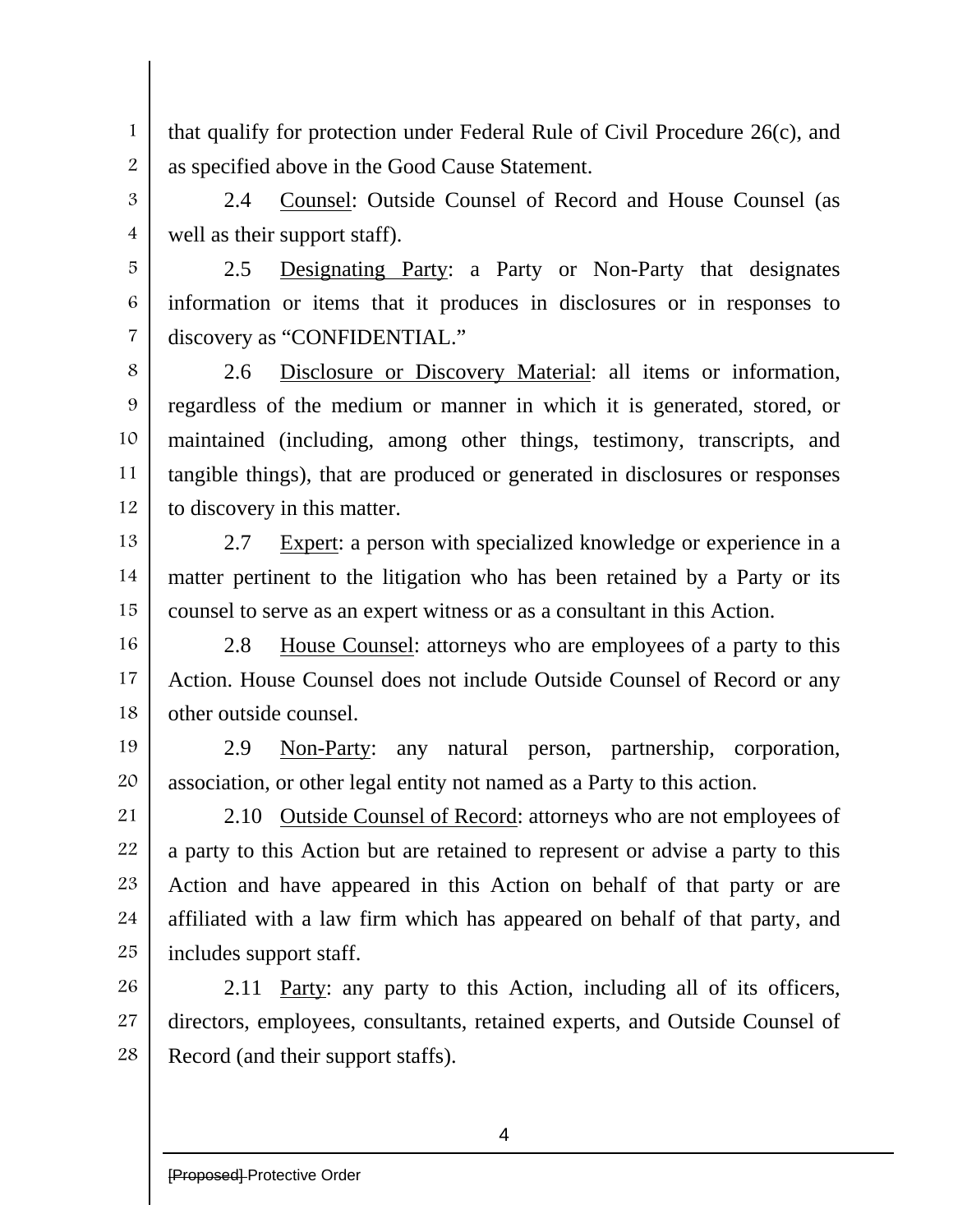that qualify for protection under Federal Rule of Civil Procedure 26(c), and as specified above in the Good Cause Statement.

2.4 Counsel: Outside Counsel of Record and House Counsel (as well as their support staff).

2.5 Designating Party: a Party or Non-Party that designates information or items that it produces in disclosures or in responses to discovery as "CONFIDENTIAL."

8 9 10 11 12 2.6 Disclosure or Discovery Material: all items or information, regardless of the medium or manner in which it is generated, stored, or maintained (including, among other things, testimony, transcripts, and tangible things), that are produced or generated in disclosures or responses to discovery in this matter.

13 14 15 2.7 Expert: a person with specialized knowledge or experience in a matter pertinent to the litigation who has been retained by a Party or its counsel to serve as an expert witness or as a consultant in this Action.

16 17 18 2.8 House Counsel: attorneys who are employees of a party to this Action. House Counsel does not include Outside Counsel of Record or any other outside counsel.

19 20 2.9 Non-Party: any natural person, partnership, corporation, association, or other legal entity not named as a Party to this action.

21 22 23 24 25 2.10 Outside Counsel of Record: attorneys who are not employees of a party to this Action but are retained to represent or advise a party to this Action and have appeared in this Action on behalf of that party or are affiliated with a law firm which has appeared on behalf of that party, and includes support staff.

26 27 28 2.11 Party: any party to this Action, including all of its officers, directors, employees, consultants, retained experts, and Outside Counsel of Record (and their support staffs).

1

2

3

4

5

6

7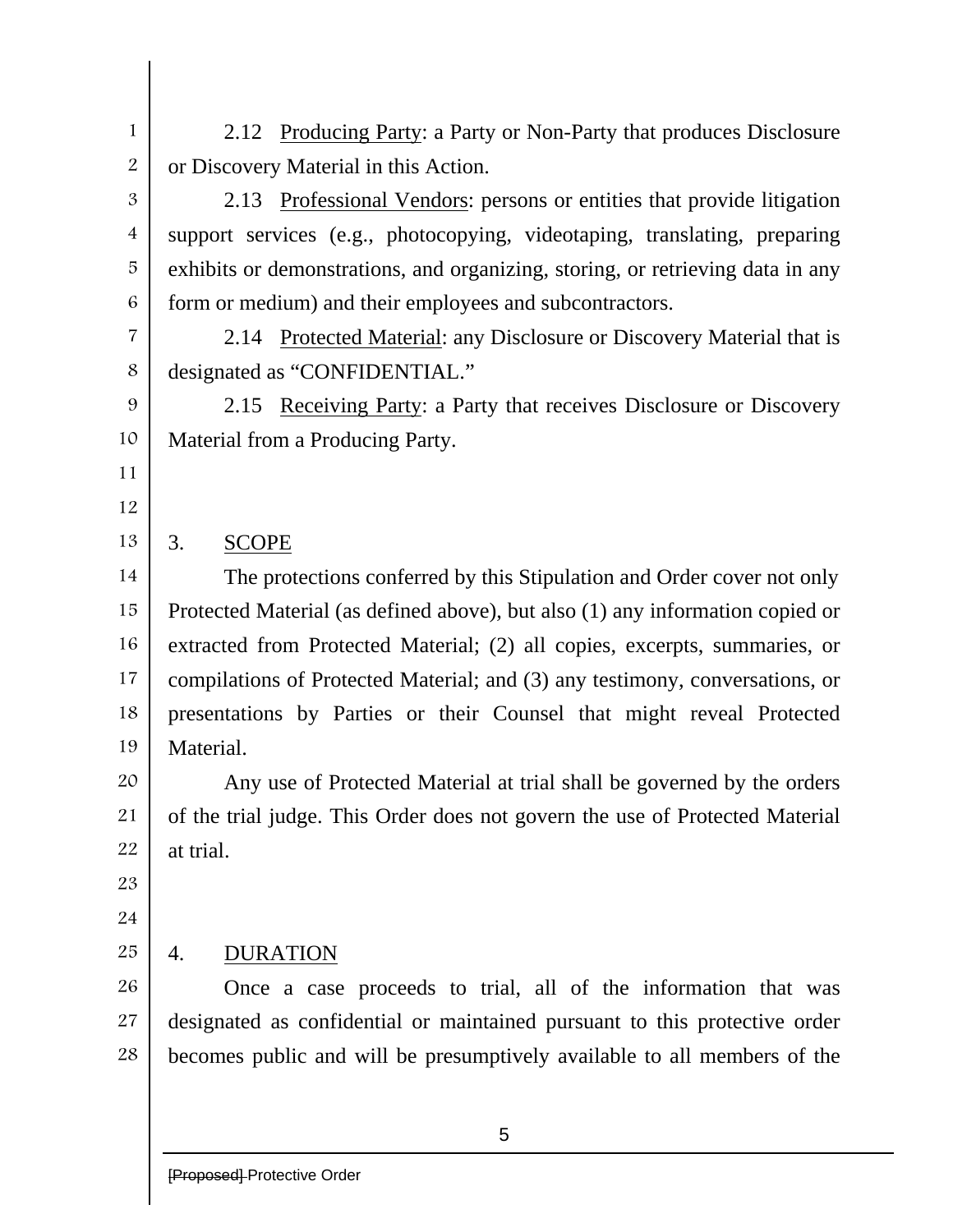1 2 2.12 Producing Party: a Party or Non-Party that produces Disclosure or Discovery Material in this Action.

2.13 Professional Vendors: persons or entities that provide litigation support services (e.g., photocopying, videotaping, translating, preparing exhibits or demonstrations, and organizing, storing, or retrieving data in any form or medium) and their employees and subcontractors.

7 8 2.14 Protected Material: any Disclosure or Discovery Material that is designated as "CONFIDENTIAL."

9 10 2.15 Receiving Party: a Party that receives Disclosure or Discovery Material from a Producing Party.

11

3

4

5

6

12

#### 13 3. SCOPE

14 15 16 17 18 19 The protections conferred by this Stipulation and Order cover not only Protected Material (as defined above), but also (1) any information copied or extracted from Protected Material; (2) all copies, excerpts, summaries, or compilations of Protected Material; and (3) any testimony, conversations, or presentations by Parties or their Counsel that might reveal Protected Material.

20 21 22 Any use of Protected Material at trial shall be governed by the orders of the trial judge. This Order does not govern the use of Protected Material at trial.

23

24

#### 25 4. DURATION

26 27 28 Once a case proceeds to trial, all of the information that was designated as confidential or maintained pursuant to this protective order becomes public and will be presumptively available to all members of the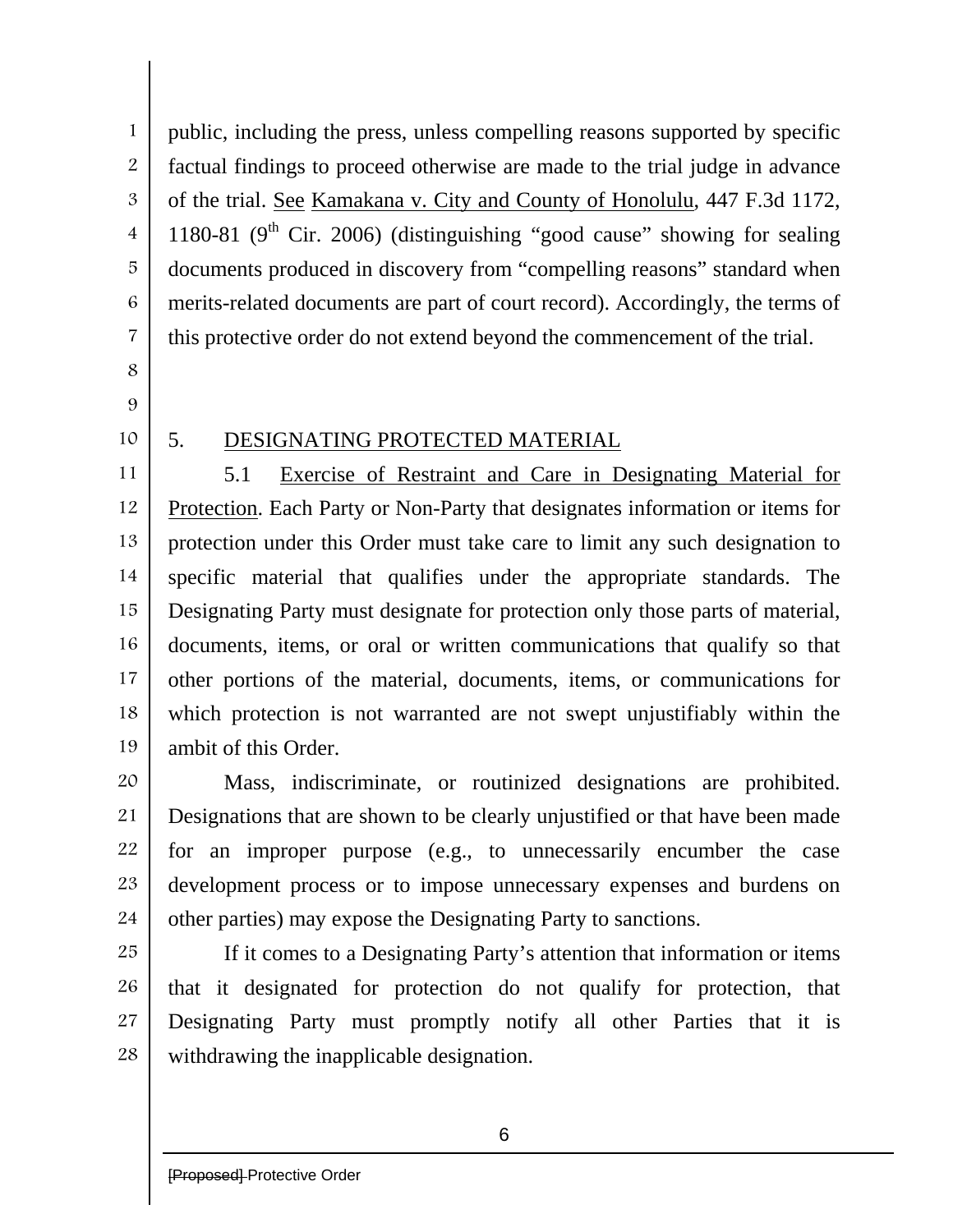3 4 5

1

2

7

6

- 8
- 9
- 10

## 5. DESIGNATING PROTECTED MATERIAL

11 12 13 14 15 16 17 18 19 5.1 Exercise of Restraint and Care in Designating Material for Protection. Each Party or Non-Party that designates information or items for protection under this Order must take care to limit any such designation to specific material that qualifies under the appropriate standards. The Designating Party must designate for protection only those parts of material, documents, items, or oral or written communications that qualify so that other portions of the material, documents, items, or communications for which protection is not warranted are not swept unjustifiably within the ambit of this Order.

public, including the press, unless compelling reasons supported by specific

factual findings to proceed otherwise are made to the trial judge in advance

of the trial. See Kamakana v. City and County of Honolulu, 447 F.3d 1172,

1180-81 ( $9<sup>th</sup>$  Cir. 2006) (distinguishing "good cause" showing for sealing

documents produced in discovery from "compelling reasons" standard when

merits-related documents are part of court record). Accordingly, the terms of

this protective order do not extend beyond the commencement of the trial.

20 21 22 23 24 Mass, indiscriminate, or routinized designations are prohibited. Designations that are shown to be clearly unjustified or that have been made for an improper purpose (e.g., to unnecessarily encumber the case development process or to impose unnecessary expenses and burdens on other parties) may expose the Designating Party to sanctions.

25 26 27 28 If it comes to a Designating Party's attention that information or items that it designated for protection do not qualify for protection, that Designating Party must promptly notify all other Parties that it is withdrawing the inapplicable designation.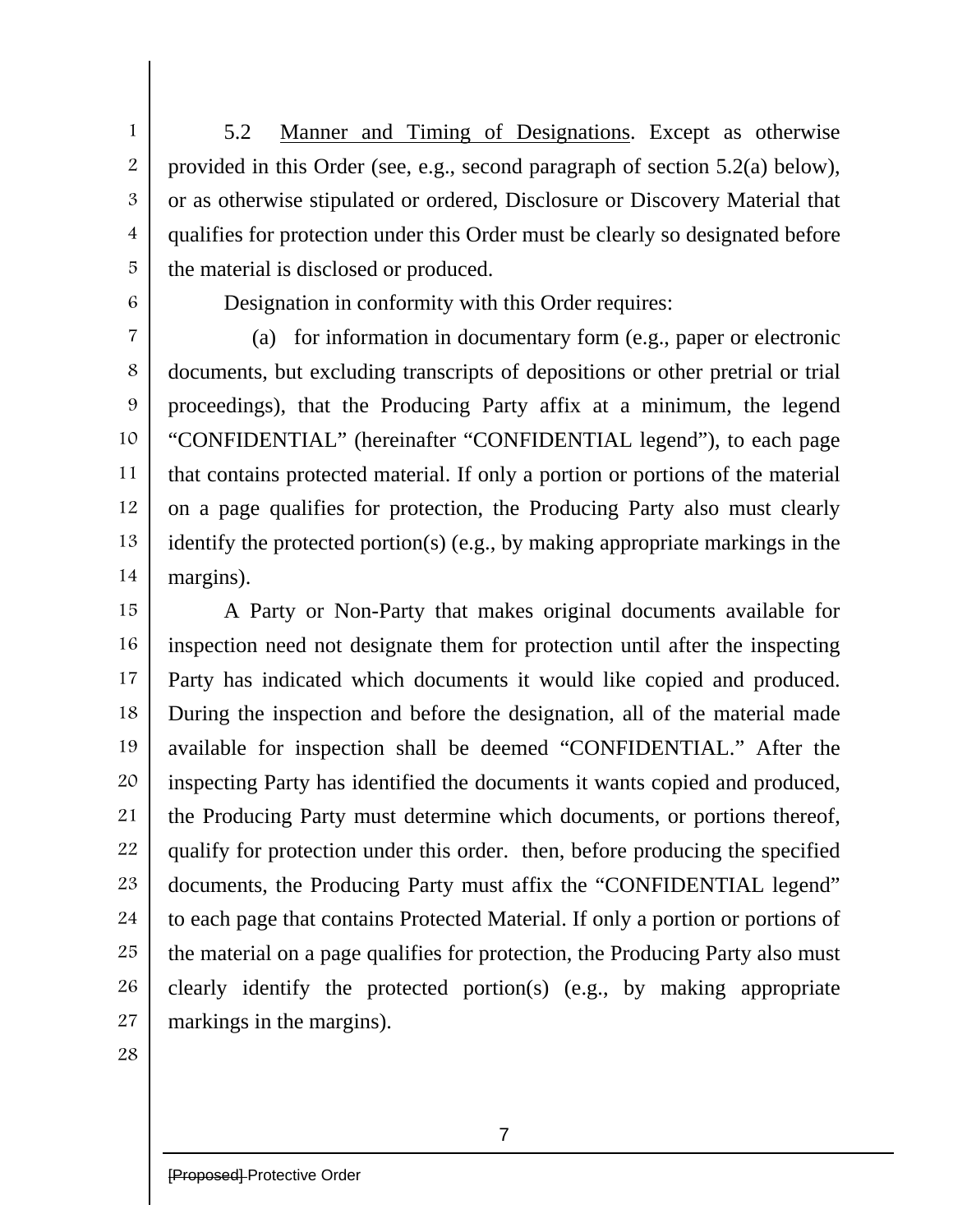5.2 Manner and Timing of Designations. Except as otherwise provided in this Order (see, e.g., second paragraph of section 5.2(a) below), or as otherwise stipulated or ordered, Disclosure or Discovery Material that qualifies for protection under this Order must be clearly so designated before the material is disclosed or produced.

6

1

2

3

4

5

Designation in conformity with this Order requires:

7 8 9 10 11 12 13 14 (a) for information in documentary form (e.g., paper or electronic documents, but excluding transcripts of depositions or other pretrial or trial proceedings), that the Producing Party affix at a minimum, the legend "CONFIDENTIAL" (hereinafter "CONFIDENTIAL legend"), to each page that contains protected material. If only a portion or portions of the material on a page qualifies for protection, the Producing Party also must clearly identify the protected portion(s) (e.g., by making appropriate markings in the margins).

15 16 17 18 19 20 21 22 23 24 25 26 27 A Party or Non-Party that makes original documents available for inspection need not designate them for protection until after the inspecting Party has indicated which documents it would like copied and produced. During the inspection and before the designation, all of the material made available for inspection shall be deemed "CONFIDENTIAL." After the inspecting Party has identified the documents it wants copied and produced, the Producing Party must determine which documents, or portions thereof, qualify for protection under this order. then, before producing the specified documents, the Producing Party must affix the "CONFIDENTIAL legend" to each page that contains Protected Material. If only a portion or portions of the material on a page qualifies for protection, the Producing Party also must clearly identify the protected portion(s) (e.g., by making appropriate markings in the margins).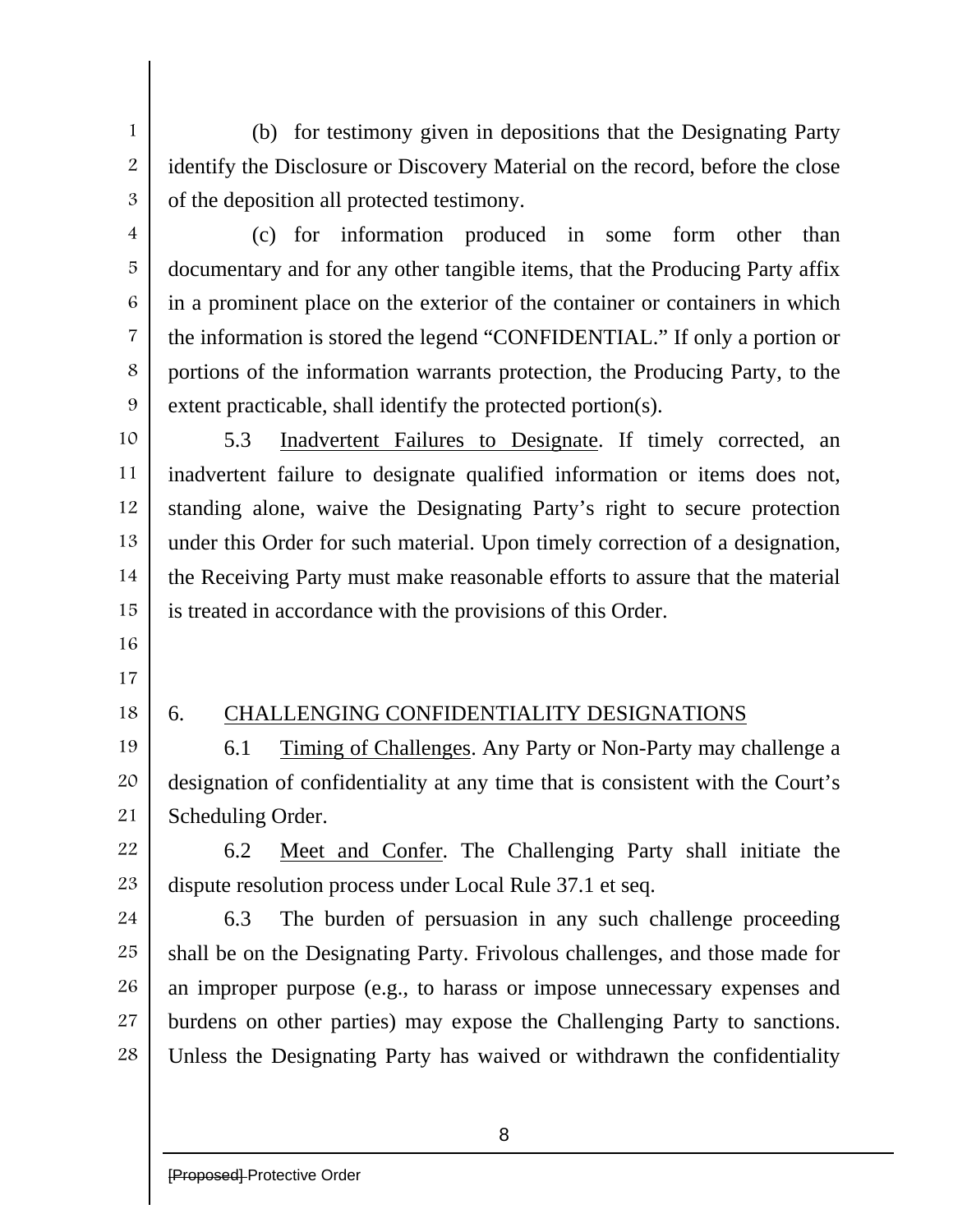(b) for testimony given in depositions that the Designating Party identify the Disclosure or Discovery Material on the record, before the close of the deposition all protected testimony.

3 4

5

6

7

8

9

1

2

(c) for information produced in some form other than documentary and for any other tangible items, that the Producing Party affix in a prominent place on the exterior of the container or containers in which the information is stored the legend "CONFIDENTIAL." If only a portion or portions of the information warrants protection, the Producing Party, to the extent practicable, shall identify the protected portion(s).

10 11 12 13 14 15 5.3 Inadvertent Failures to Designate. If timely corrected, an inadvertent failure to designate qualified information or items does not, standing alone, waive the Designating Party's right to secure protection under this Order for such material. Upon timely correction of a designation, the Receiving Party must make reasonable efforts to assure that the material is treated in accordance with the provisions of this Order.

- 16
- 17
- 18

### 6. CHALLENGING CONFIDENTIALITY DESIGNATIONS

19 20 21 6.1 Timing of Challenges. Any Party or Non-Party may challenge a designation of confidentiality at any time that is consistent with the Court's Scheduling Order.

22 23 6.2 Meet and Confer. The Challenging Party shall initiate the dispute resolution process under Local Rule 37.1 et seq.

24 25 26 27 28 6.3 The burden of persuasion in any such challenge proceeding shall be on the Designating Party. Frivolous challenges, and those made for an improper purpose (e.g., to harass or impose unnecessary expenses and burdens on other parties) may expose the Challenging Party to sanctions. Unless the Designating Party has waived or withdrawn the confidentiality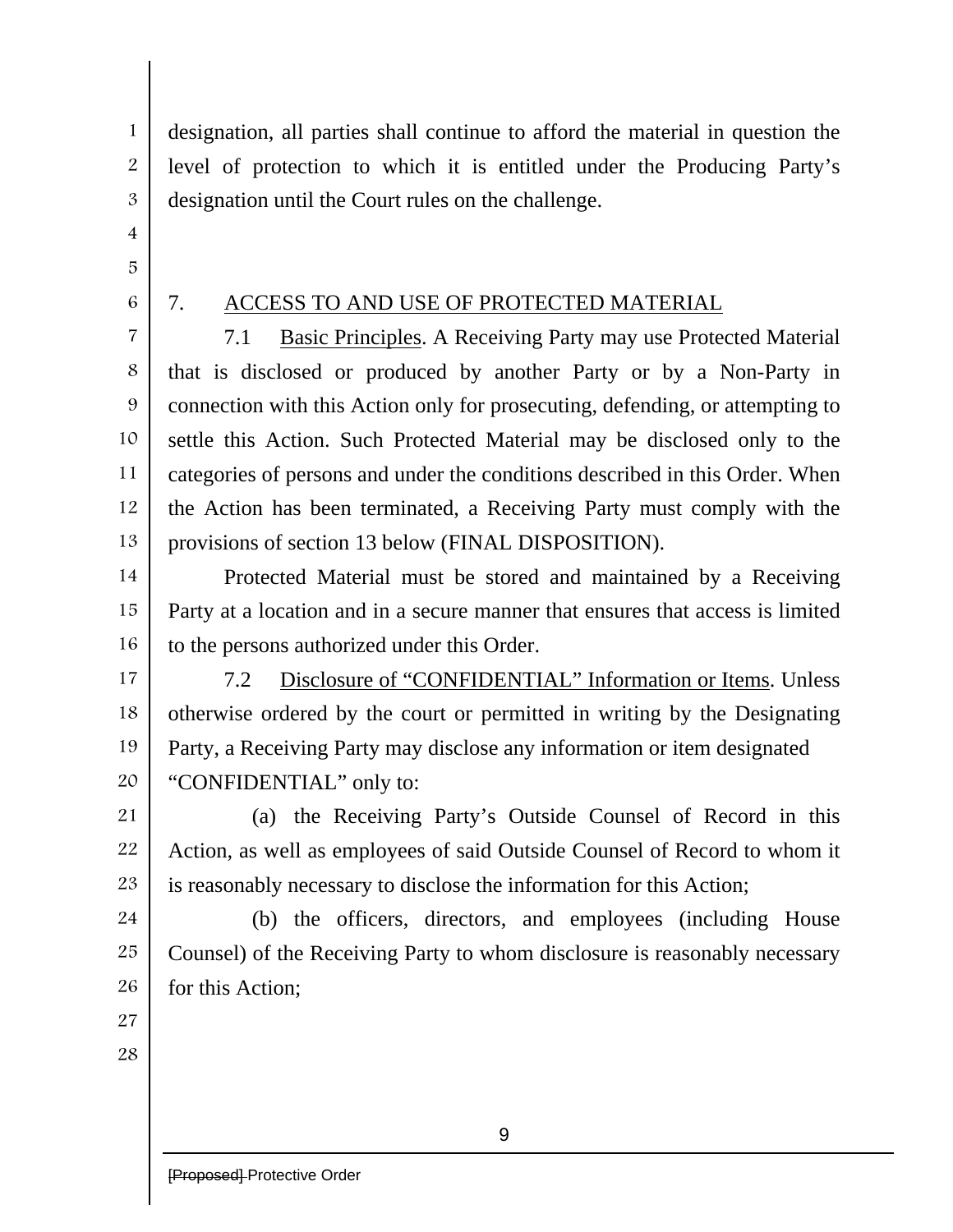designation, all parties shall continue to afford the material in question the level of protection to which it is entitled under the Producing Party's designation until the Court rules on the challenge.

4

1

2

3

- 5
- 6

## 7. ACCESS TO AND USE OF PROTECTED MATERIAL

7 8 9 10 11 12 13 7.1 Basic Principles. A Receiving Party may use Protected Material that is disclosed or produced by another Party or by a Non-Party in connection with this Action only for prosecuting, defending, or attempting to settle this Action. Such Protected Material may be disclosed only to the categories of persons and under the conditions described in this Order. When the Action has been terminated, a Receiving Party must comply with the provisions of section 13 below (FINAL DISPOSITION).

14 15 16 Protected Material must be stored and maintained by a Receiving Party at a location and in a secure manner that ensures that access is limited to the persons authorized under this Order.

17

18 19 20 7.2 Disclosure of "CONFIDENTIAL" Information or Items. Unless otherwise ordered by the court or permitted in writing by the Designating Party, a Receiving Party may disclose any information or item designated "CONFIDENTIAL" only to:

21 22 23 (a) the Receiving Party's Outside Counsel of Record in this Action, as well as employees of said Outside Counsel of Record to whom it is reasonably necessary to disclose the information for this Action;

24 25 26 (b) the officers, directors, and employees (including House Counsel) of the Receiving Party to whom disclosure is reasonably necessary for this Action;

27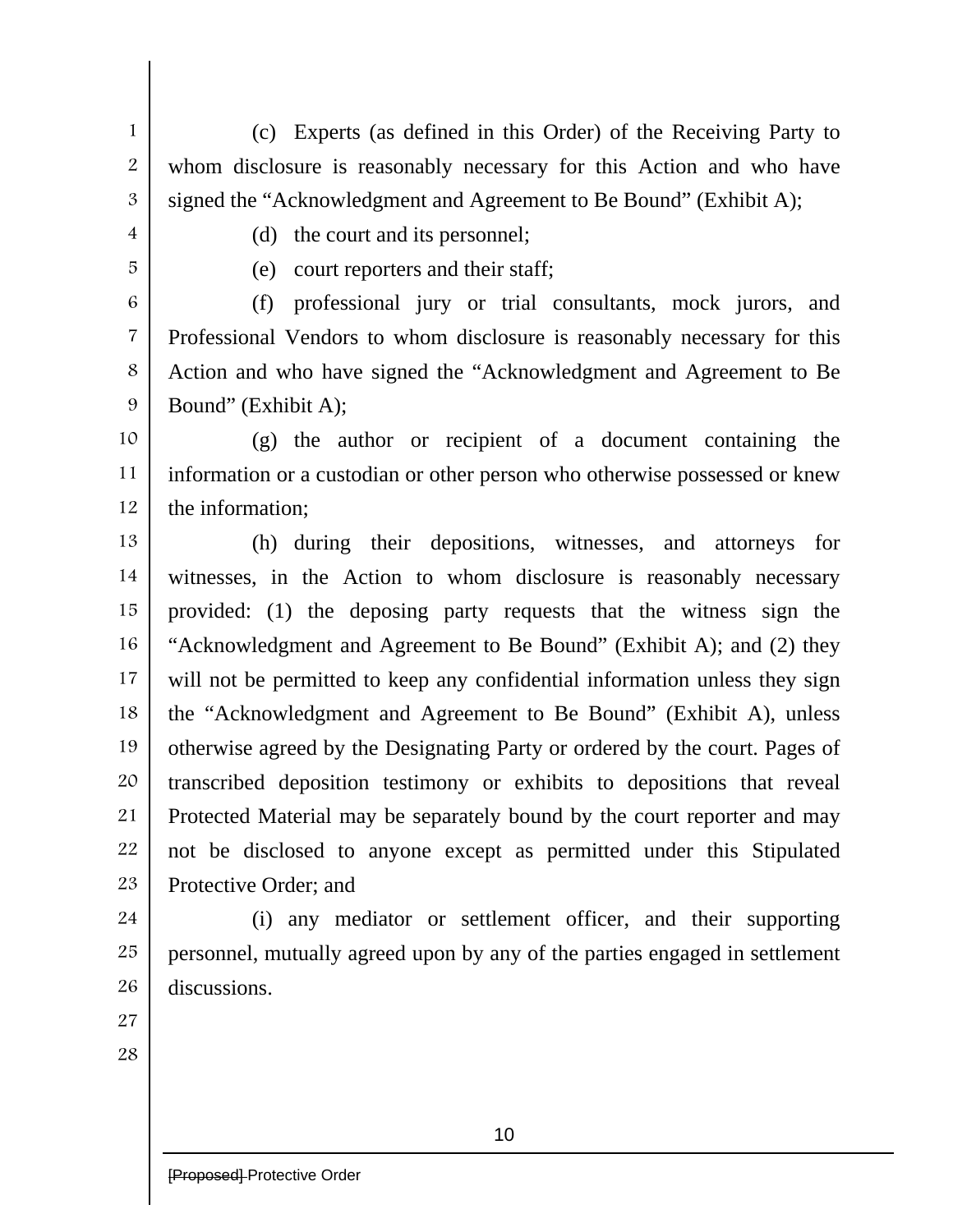- (c) Experts (as defined in this Order) of the Receiving Party to whom disclosure is reasonably necessary for this Action and who have signed the "Acknowledgment and Agreement to Be Bound" (Exhibit A);
- 4

1

2

3

(d) the court and its personnel;

5

(e) court reporters and their staff;

6 7 8 9 (f) professional jury or trial consultants, mock jurors, and Professional Vendors to whom disclosure is reasonably necessary for this Action and who have signed the "Acknowledgment and Agreement to Be Bound" (Exhibit A);

10 11 12 (g) the author or recipient of a document containing the information or a custodian or other person who otherwise possessed or knew the information;

13 14 15 16 17 18 19 20 21 22 23 (h) during their depositions, witnesses, and attorneys for witnesses, in the Action to whom disclosure is reasonably necessary provided: (1) the deposing party requests that the witness sign the "Acknowledgment and Agreement to Be Bound" (Exhibit A); and (2) they will not be permitted to keep any confidential information unless they sign the "Acknowledgment and Agreement to Be Bound" (Exhibit A), unless otherwise agreed by the Designating Party or ordered by the court. Pages of transcribed deposition testimony or exhibits to depositions that reveal Protected Material may be separately bound by the court reporter and may not be disclosed to anyone except as permitted under this Stipulated Protective Order; and

24 25 26 (i) any mediator or settlement officer, and their supporting personnel, mutually agreed upon by any of the parties engaged in settlement discussions.

27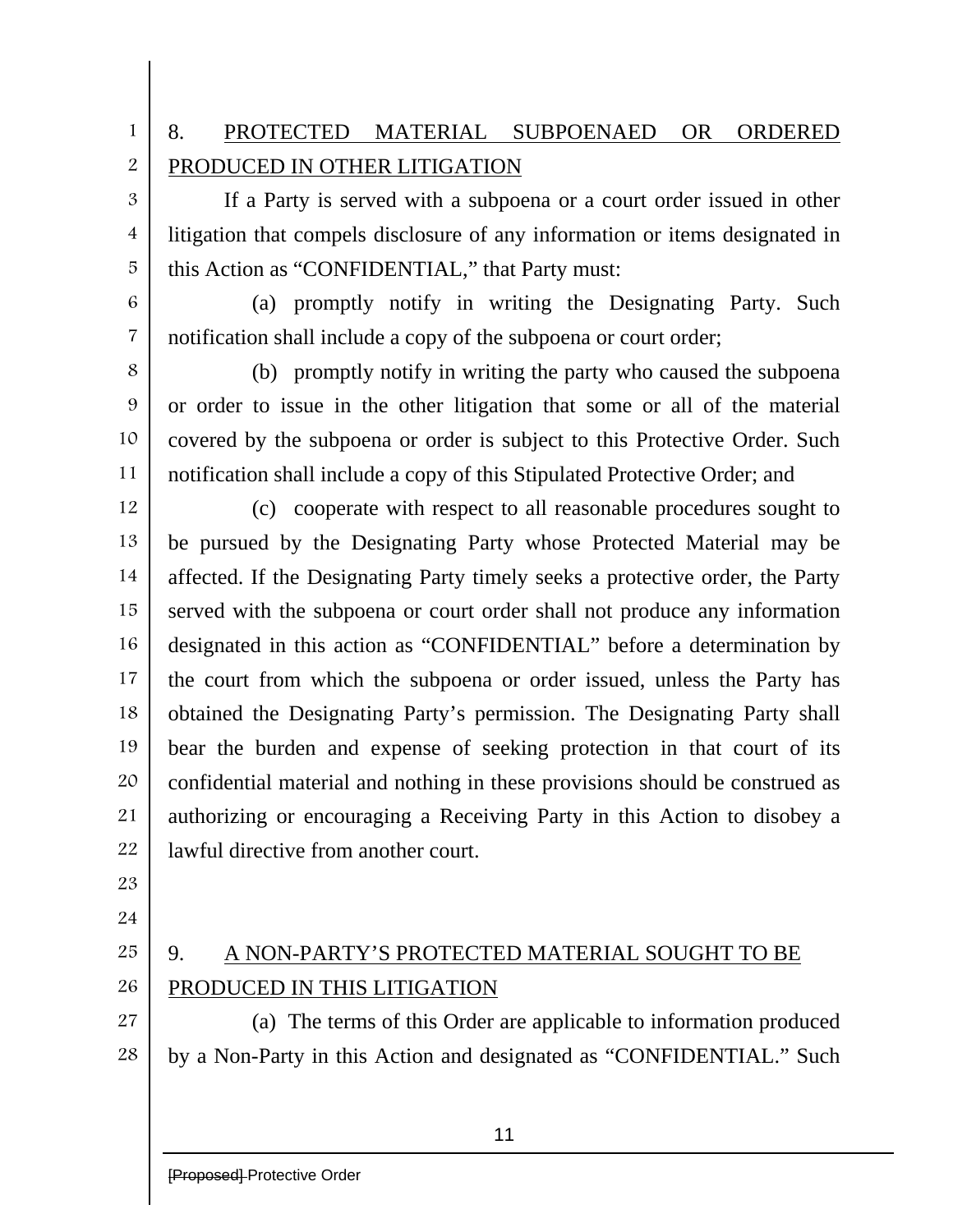# 8. PROTECTED MATERIAL SUBPOENAED OR ORDERED PRODUCED IN OTHER LITIGATION

If a Party is served with a subpoena or a court order issued in other litigation that compels disclosure of any information or items designated in this Action as "CONFIDENTIAL," that Party must:

6

7

1

2

3

4

5

(a) promptly notify in writing the Designating Party. Such notification shall include a copy of the subpoena or court order;

8 9 10 11 (b) promptly notify in writing the party who caused the subpoena or order to issue in the other litigation that some or all of the material covered by the subpoena or order is subject to this Protective Order. Such notification shall include a copy of this Stipulated Protective Order; and

12 13 14 15 16 17 18 19 20 21 22 (c) cooperate with respect to all reasonable procedures sought to be pursued by the Designating Party whose Protected Material may be affected. If the Designating Party timely seeks a protective order, the Party served with the subpoena or court order shall not produce any information designated in this action as "CONFIDENTIAL" before a determination by the court from which the subpoena or order issued, unless the Party has obtained the Designating Party's permission. The Designating Party shall bear the burden and expense of seeking protection in that court of its confidential material and nothing in these provisions should be construed as authorizing or encouraging a Receiving Party in this Action to disobey a lawful directive from another court.

- 23
- 24

# 25

26 27

# 9. A NON-PARTY'S PROTECTED MATERIAL SOUGHT TO BE PRODUCED IN THIS LITIGATION

28 (a) The terms of this Order are applicable to information produced by a Non-Party in this Action and designated as "CONFIDENTIAL." Such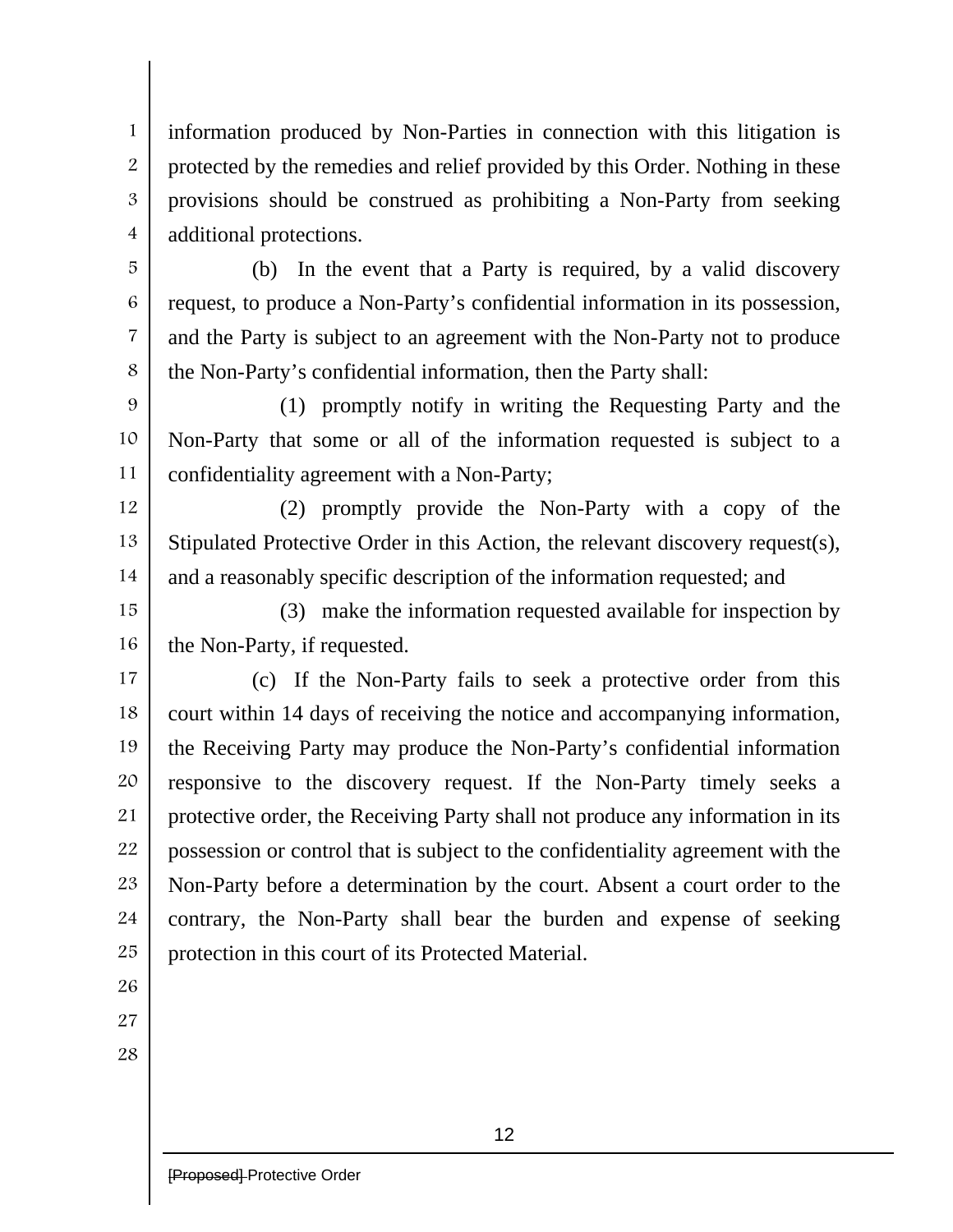1 2 3 4 information produced by Non-Parties in connection with this litigation is protected by the remedies and relief provided by this Order. Nothing in these provisions should be construed as prohibiting a Non-Party from seeking additional protections.

(b) In the event that a Party is required, by a valid discovery request, to produce a Non-Party's confidential information in its possession, and the Party is subject to an agreement with the Non-Party not to produce the Non-Party's confidential information, then the Party shall:

9 10 11 (1) promptly notify in writing the Requesting Party and the Non-Party that some or all of the information requested is subject to a confidentiality agreement with a Non-Party;

12 13 14 (2) promptly provide the Non-Party with a copy of the Stipulated Protective Order in this Action, the relevant discovery request(s), and a reasonably specific description of the information requested; and

15 16 (3) make the information requested available for inspection by the Non-Party, if requested.

17 18 19 20 21 22 23 24 25 (c) If the Non-Party fails to seek a protective order from this court within 14 days of receiving the notice and accompanying information, the Receiving Party may produce the Non-Party's confidential information responsive to the discovery request. If the Non-Party timely seeks a protective order, the Receiving Party shall not produce any information in its possession or control that is subject to the confidentiality agreement with the Non-Party before a determination by the court. Absent a court order to the contrary, the Non-Party shall bear the burden and expense of seeking protection in this court of its Protected Material.

26

5

6

7

8

27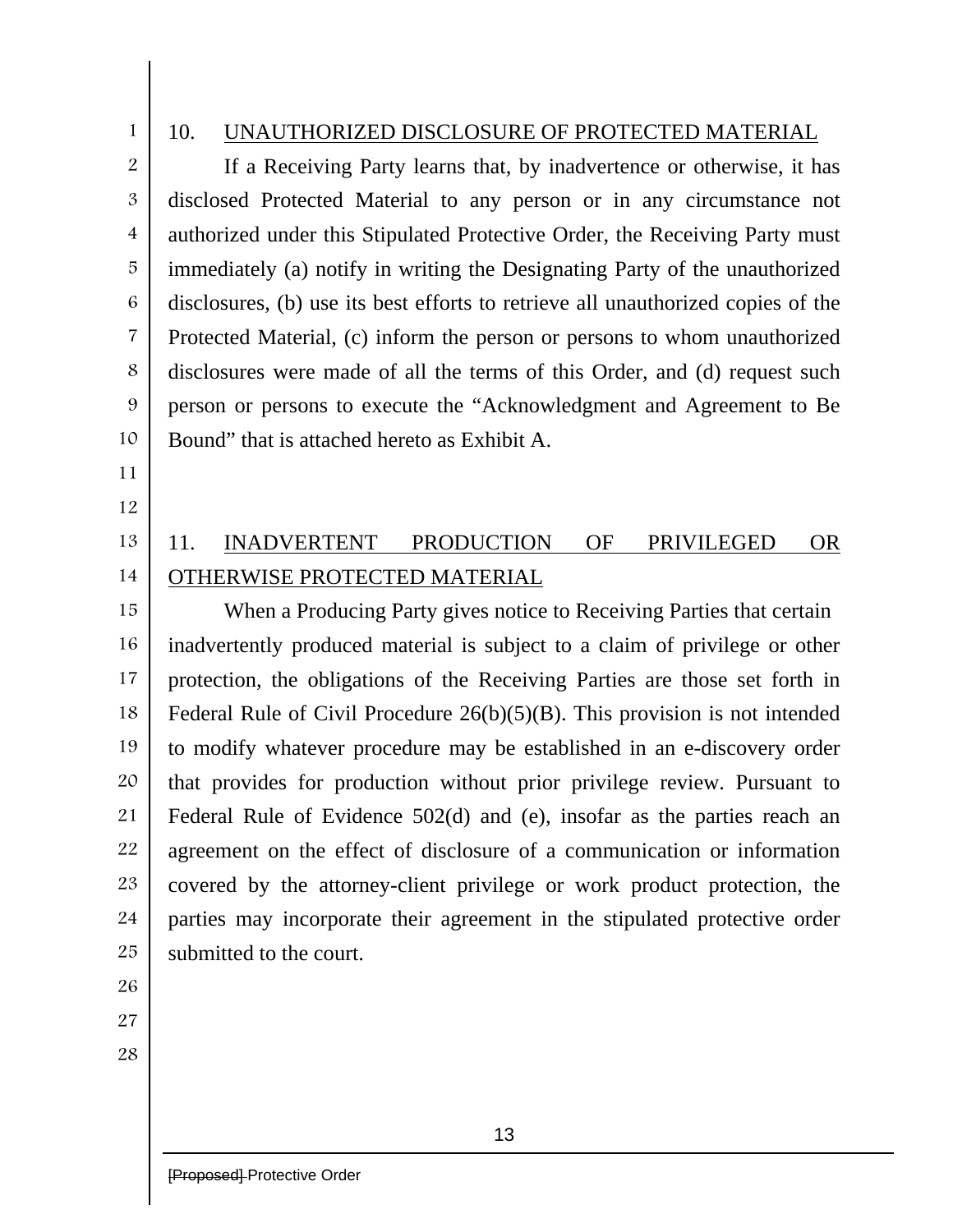1 2

## 10. UNAUTHORIZED DISCLOSURE OF PROTECTED MATERIAL

3 4 5 6 7 8 10 If a Receiving Party learns that, by inadvertence or otherwise, it has disclosed Protected Material to any person or in any circumstance not authorized under this Stipulated Protective Order, the Receiving Party must immediately (a) notify in writing the Designating Party of the unauthorized disclosures, (b) use its best efforts to retrieve all unauthorized copies of the Protected Material, (c) inform the person or persons to whom unauthorized disclosures were made of all the terms of this Order, and (d) request such person or persons to execute the "Acknowledgment and Agreement to Be Bound" that is attached hereto as Exhibit A.

11

9

12

### 13 14 11. INADVERTENT PRODUCTION OF PRIVILEGED OR OTHERWISE PROTECTED MATERIAL

15 16 17 18 19 20 21 22 23 24 25 When a Producing Party gives notice to Receiving Parties that certain inadvertently produced material is subject to a claim of privilege or other protection, the obligations of the Receiving Parties are those set forth in Federal Rule of Civil Procedure 26(b)(5)(B). This provision is not intended to modify whatever procedure may be established in an e-discovery order that provides for production without prior privilege review. Pursuant to Federal Rule of Evidence 502(d) and (e), insofar as the parties reach an agreement on the effect of disclosure of a communication or information covered by the attorney-client privilege or work product protection, the parties may incorporate their agreement in the stipulated protective order submitted to the court.

- 27
- 28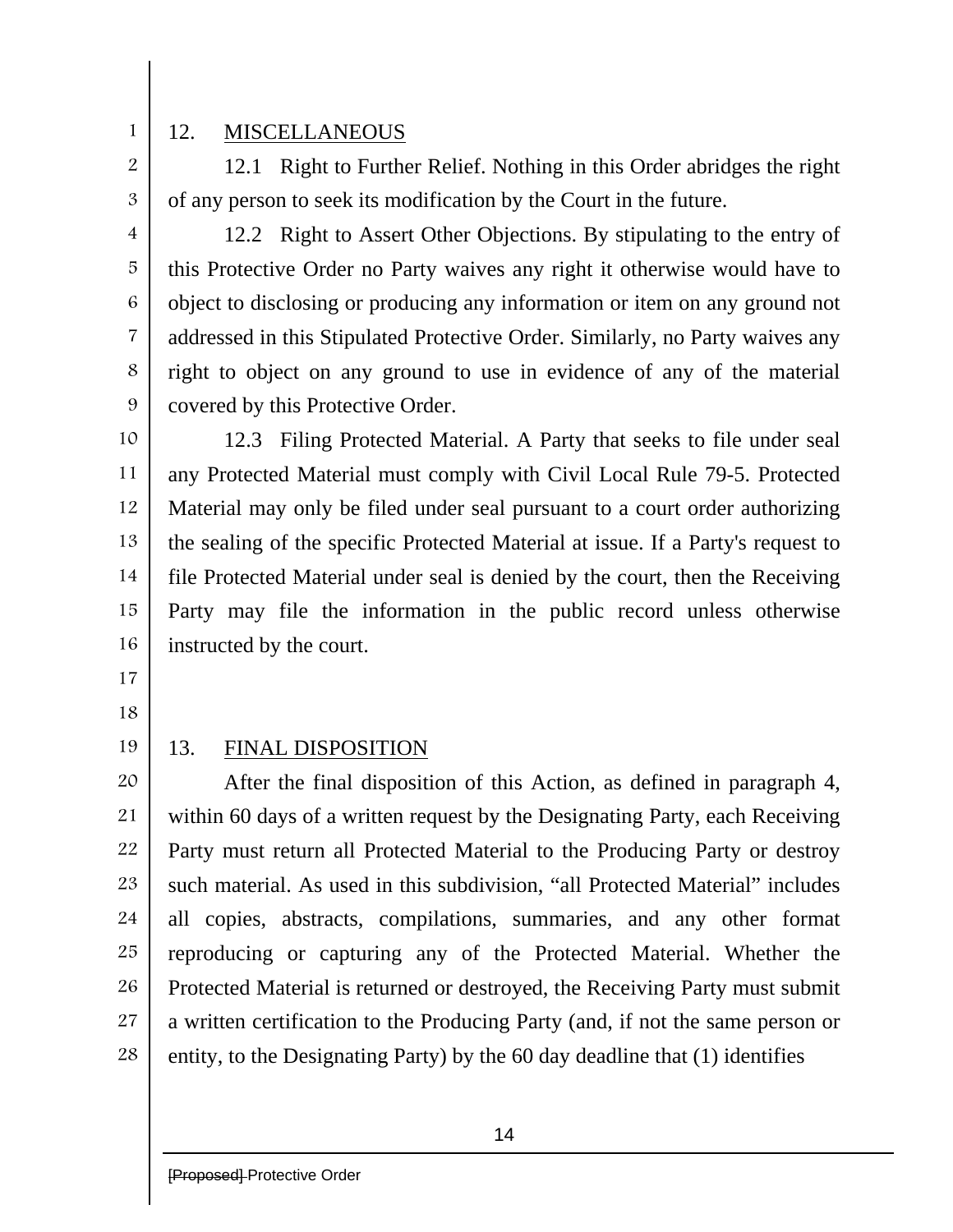1 2

3

4

5

6

7

8

9

# 12. MISCELLANEOUS

12.1 Right to Further Relief. Nothing in this Order abridges the right of any person to seek its modification by the Court in the future.

12.2 Right to Assert Other Objections. By stipulating to the entry of this Protective Order no Party waives any right it otherwise would have to object to disclosing or producing any information or item on any ground not addressed in this Stipulated Protective Order. Similarly, no Party waives any right to object on any ground to use in evidence of any of the material covered by this Protective Order.

10 11 12 13 14 15 16 12.3 Filing Protected Material. A Party that seeks to file under seal any Protected Material must comply with Civil Local Rule 79-5. Protected Material may only be filed under seal pursuant to a court order authorizing the sealing of the specific Protected Material at issue. If a Party's request to file Protected Material under seal is denied by the court, then the Receiving Party may file the information in the public record unless otherwise instructed by the court.

17

18

19 20

## 13. FINAL DISPOSITION

21 22 23 24 25 26 27 28 After the final disposition of this Action, as defined in paragraph 4, within 60 days of a written request by the Designating Party, each Receiving Party must return all Protected Material to the Producing Party or destroy such material. As used in this subdivision, "all Protected Material" includes all copies, abstracts, compilations, summaries, and any other format reproducing or capturing any of the Protected Material. Whether the Protected Material is returned or destroyed, the Receiving Party must submit a written certification to the Producing Party (and, if not the same person or entity, to the Designating Party) by the 60 day deadline that (1) identifies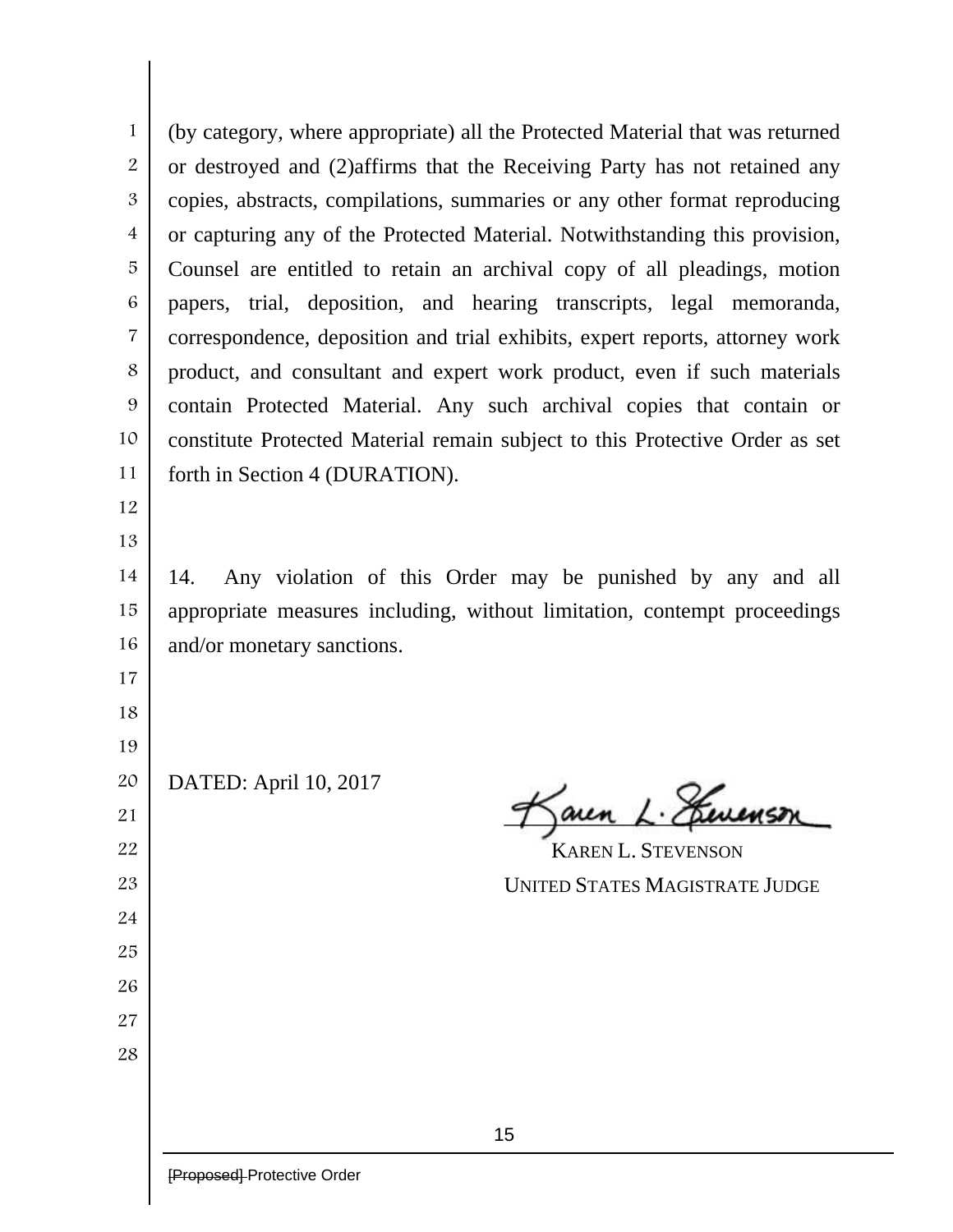(by category, where appropriate) all the Protected Material that was returned or destroyed and (2)affirms that the Receiving Party has not retained any copies, abstracts, compilations, summaries or any other format reproducing or capturing any of the Protected Material. Notwithstanding this provision, Counsel are entitled to retain an archival copy of all pleadings, motion papers, trial, deposition, and hearing transcripts, legal memoranda, correspondence, deposition and trial exhibits, expert reports, attorney work product, and consultant and expert work product, even if such materials contain Protected Material. Any such archival copies that contain or constitute Protected Material remain subject to this Protective Order as set forth in Section 4 (DURATION).

 

 14. Any violation of this Order may be punished by any and all appropriate measures including, without limitation, contempt proceedings and/or monetary sanctions.

- 
- 

 

DATED: April 10, 2017

aren L. Herrens

 KAREN L. STEVENSON UNITED STATES MAGISTRATE JUDGE